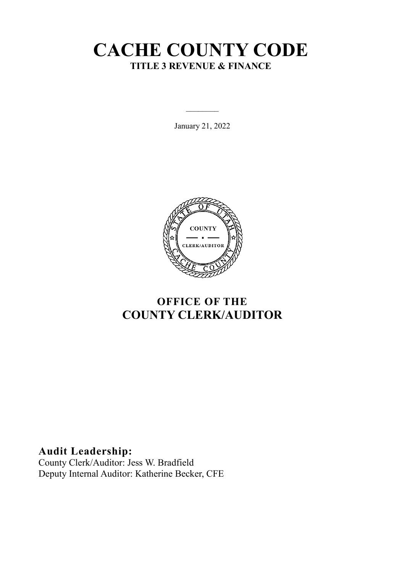# **CACHE COUNTY CODE TITLE 3 REVENUE & FINANCE**

January 21, 2022



## **OFFICE OF THE COUNTY CLERK/AUDITOR**

**Audit Leadership:**

County Clerk/Auditor: Jess W. Bradfield Deputy Internal Auditor: Katherine Becker, CFE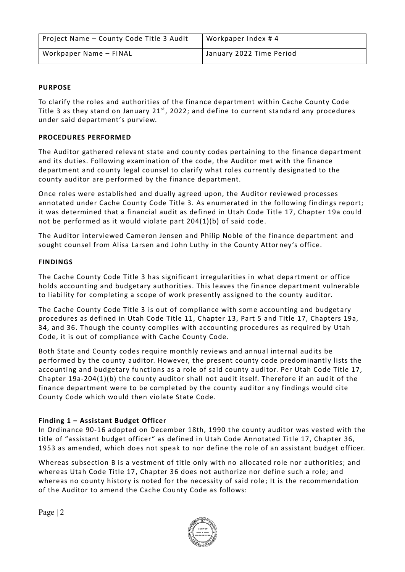| Project Name - County Code Title 3 Audit | Workpaper Index #4       |
|------------------------------------------|--------------------------|
| Workpaper Name - FINAL                   | January 2022 Time Period |

### **PURPOSE**

To clarify the roles and authorities of the finance department within Cache County Code Title 3 as they stand on January  $21^{st}$ , 2022; and define to current standard any procedures under said department's purview.

### **PROCEDURES PERFORMED**

The Auditor gathered relevant state and county codes pertaining to the finance department and its duties. Following examination of the code, the Auditor met with the finance department and county legal counsel to clarify what roles currently designated to the county auditor are performed by the finance department.

Once roles were established and dually agreed upon, the Auditor reviewed processes annotated under Cache County Code Title 3. As enumerated in the following findings report; it was determined that a financial audit as defined in Utah Code Title 17, Chapter 19a could not be performed as it would violate part 204(1)(b) of said code.

The Auditor interviewed Cameron Jensen and Philip Noble of the finance department and sought counsel from Alisa Larsen and John Luthy in the County Attorney's office.

### **FINDINGS**

The Cache County Code Title 3 has significant irregularities in what department or office holds accounting and budgetary authorities. This leaves the finance department vulnerable to liability for completing a scope of work presently assigned to the county auditor.

The Cache County Code Title 3 is out of compliance with some accounting and budgetary procedures as defined in Utah Code Title 11, Chapter 13, Part 5 and Title 17, Chapters 19a, 34, and 36. Though the county complies with accounting procedures as required by Utah Code, it is out of compliance with Cache County Code.

Both State and County codes require monthly reviews and annual internal audits be performed by the county auditor. However, the present county code predominantly lists the accounting and budgetary functions as a role of said county auditor. Per Utah Code Title 17, Chapter 19a-204(1)(b) the county auditor shall not audit itself. Therefore if an audit of the finance department were to be completed by the county auditor any findings would cite County Code which would then violate State Code.

### **Finding 1 – Assistant Budget Officer**

In Ordinance 90-16 adopted on December 18th, 1990 the county auditor was vested with the title of "assistant budget officer" as defined in Utah Code Annotated Title 17, Chapter 36, 1953 as amended, which does not speak to nor define the role of an assistant budget officer.

Whereas subsection B is a vestment of title only with no allocated role nor authorities; and whereas Utah Code Title 17, Chapter 36 does not authorize nor define such a role; and whereas no county history is noted for the necessity of said role; It is the recommendation of the Auditor to amend the Cache County Code as follows:

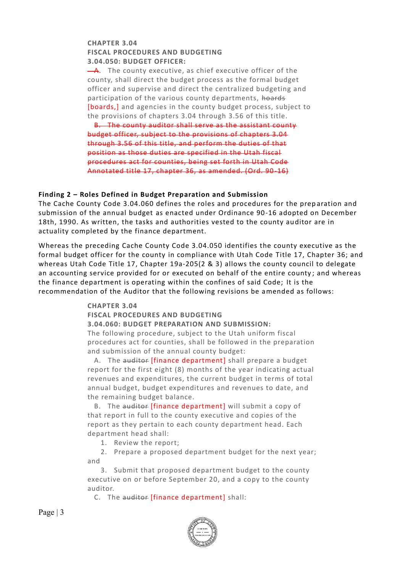### **CHAPTER 3.04 FISCAL PROCEDURES AND BUDGETING 3.04.050: BUDGET OFFICER:**

 $-A.$  The county executive, as chief executive officer of the county, shall direct the budget process as the formal budget officer and supervise and direct the centralized budgeting and participation of the various county departments, hoards [boards,] and agencies in the county budget process, subject to the provisions of chapters 3.04 through 3.56 of this title.

 B. The county auditor shall serve as the assistant county budget officer, subject to the provisions of chapters 3.04 through 3.56 of this title, and perform the duties of that position as those duties are specified in the Utah fiscal procedures act for counties, being set forth in Utah Code Annotated title 17, chapter 36, as amended. (Ord. 90-16)

### **Finding 2 – Roles Defined in Budget Preparation and Submission**

The Cache County Code 3.04.060 defines the roles and procedures for the prep aration and submission of the annual budget as enacted under Ordinance 90-16 adopted on December 18th, 1990. As written, the tasks and authorities vested to the county auditor are in actuality completed by the finance department.

Whereas the preceding Cache County Code 3.04.050 identifies the county executive as the formal budget officer for the county in compliance with Utah Code Title 17, Chapter 36; and whereas Utah Code Title 17, Chapter 19a-205(2 & 3) allows the county council to delegate an accounting service provided for or executed on behalf of the entire county; and whereas the finance department is operating within the confines of said Code; It is the recommendation of the Auditor that the following revisions be amended as follows:

### **CHAPTER 3.04**

**FISCAL PROCEDURES AND BUDGETING**

**3.04.060: BUDGET PREPARATION AND SUBMISSION:**

The following procedure, subject to the Utah uniform fiscal procedures act for counties, shall be followed in the preparation and submission of the annual county budget:

A. The auditor *[finance department]* shall prepare a budget report for the first eight (8) months of the year indicating actual revenues and expenditures, the current budget in terms of total annual budget, budget expenditures and revenues to date, and the remaining budget balance.

B. The auditor *[finance department]* will submit a copy of that report in full to the county executive and copies of the report as they pertain to each county department head. Each department head shall:

1. Review the report;

 2. Prepare a proposed department budget for the next year; and

 3. Submit that proposed department budget to the county executive on or before September 20, and a copy to the county auditor.

C. The auditor [finance department] shall:

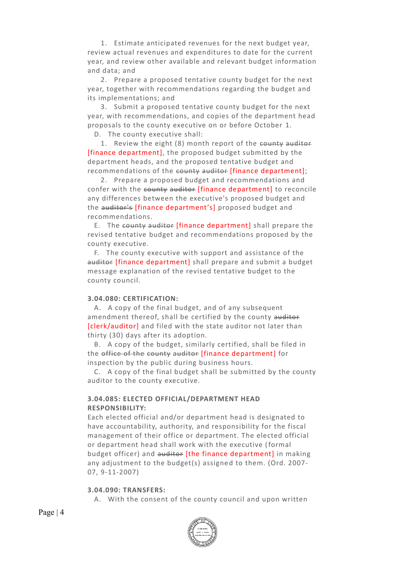1. Estimate anticipated revenues for the next budget year, review actual revenues and expenditures to date for the current year, and review other available and relevant budget information and data; and

 2. Prepare a proposed tentative county budget for the next year, together with recommendations regarding the budget and its implementations; and

 3. Submit a proposed tentative county budget for the next year, with recommendations, and copies of the department head proposals to the county executive on or before October 1.

D. The county executive shall:

 1. Review the eight (8) month report of the county auditor [finance department], the proposed budget submitted by the department heads, and the proposed tentative budget and recommendations of the county auditor [finance department];

 2. Prepare a proposed budget and recommendations and confer with the county auditor [finance department] to reconcile any differences between the executive's proposed budget and the auditor's [finance department's] proposed budget and recommendations.

 E. The county auditor [finance department] shall prepare the revised tentative budget and recommendations proposed by the county executive.

 F. The county executive with support and assistance of the auditor [finance department] shall prepare and submit a budget message explanation of the revised tentative budget to the county council.

#### **3.04.080: CERTIFICATION:**

 A. A copy of the final budget, and of any subsequent amendment thereof, shall be certified by the county auditor [clerk/auditor] and filed with the state auditor not later than thirty (30) days after its adoption.

 B. A copy of the budget, similarly certified, shall be filed in the office of the county auditor [finance department] for inspection by the public during business hours.

 C. A copy of the final budget shall be submitted by the county auditor to the county executive.

### **3.04.085: ELECTED OFFICIAL/DEPARTMENT HEAD RESPONSIBILITY:**

Each elected official and/or department head is designated to have accountability, authority, and responsibility for the fiscal management of their office or department. The elected official or department head shall work with the executive (formal budget officer) and auditor [the finance department] in making any adjustment to the budget(s) assigned to them. (Ord. 2007- 07, 9-11-2007)

#### **3.04.090: TRANSFERS:**

A. With the consent of the county council and upon written



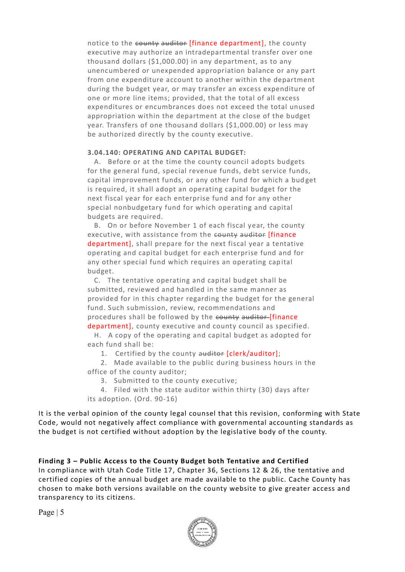notice to the county auditor *[finance department]*, the county executive may authorize an intradepartmental transfer over one thousand dollars (\$1,000.00) in any department, as to any unencumbered or unexpended appropriation balance or any part from one expenditure account to another within the department during the budget year, or may transfer an excess expenditure of one or more line items; provided, that the total of all excess expenditures or encumbrances does not exceed the total unused appropriation within the department at the close of the budget year. Transfers of one thousand dollars (\$1,000.00) or less may be authorized directly by the county executive.

### **3.04.140: OPERATING AND CAPITAL BUDGET:**

 A. Before or at the time the county council adopts budgets for the general fund, special revenue funds, debt service funds, capital improvement funds, or any other fund for which a bud get is required, it shall adopt an operating capital budget for the next fiscal year for each enterprise fund and for any other special nonbudgetary fund for which operating and capital budgets are required.

 B. On or before November 1 of each fiscal year, the county executive, with assistance from the county auditor [finance department], shall prepare for the next fiscal year a tentative operating and capital budget for each enterprise fund and for any other special fund which requires an operating capital budget.

 C. The tentative operating and capital budget shall be submitted, reviewed and handled in the same manner as provided for in this chapter regarding the budget for the general fund. Such submission, review, recommendations and procedures shall be followed by the county auditor [finance department], county executive and county council as specified.

 H. A copy of the operating and capital budget as adopted for each fund shall be:

1. Certified by the county auditor [clerk/auditor];

 2. Made available to the public during business hours in the office of the county auditor;

3. Submitted to the county executive;

 4. Filed with the state auditor within thirty (30) days after its adoption. (Ord. 90-16)

It is the verbal opinion of the county legal counsel that this revision, conforming with State Code, would not negatively affect compliance with governmental accounting standards as the budget is not certified without adoption by the legisla tive body of the county.

### **Finding 3 – Public Access to the County Budget both Tentative and Certified**

In compliance with Utah Code Title 17, Chapter 36, Sections 12 & 26, the tentative and certified copies of the annual budget are made available to the public. Cache County has chosen to make both versions available on the county website to give greater access and transparency to its citizens.

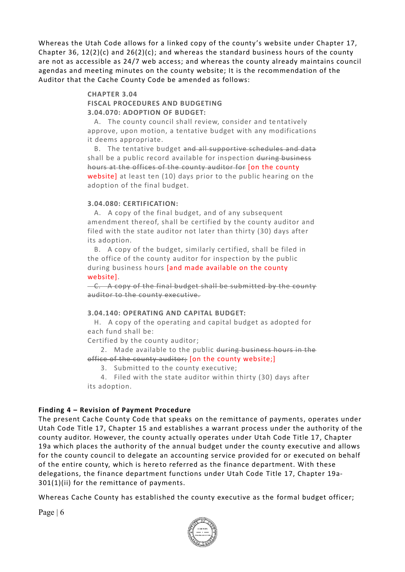Whereas the Utah Code allows for a linked copy of the county's website under Chapter 17, Chapter 36,  $12(2)(c)$  and  $26(2)(c)$ ; and whereas the standard business hours of the county are not as accessible as 24/7 web access; and whereas the county already maintains council agendas and meeting minutes on the county website; It is the recommendation of the Auditor that the Cache County Code be amended as follows:

### **CHAPTER 3.04**

### **FISCAL PROCEDURES AND BUDGETING 3.04.070: ADOPTION OF BUDGET:**

 A. The county council shall review, consider and tentatively approve, upon motion, a tentative budget with any modifications it deems appropriate.

 B. The tentative budget and all supportive schedules and data shall be a public record available for inspection during business hours at the offices of the county auditor for [on the county website] at least ten (10) days prior to the public hearing on the adoption of the final budget.

#### **3.04.080: CERTIFICATION:**

 A. A copy of the final budget, and of any subsequent amendment thereof, shall be certified by the county auditor and filed with the state auditor not later than thirty (30) days after its adoption.

 B. A copy of the budget, similarly certified, shall be filed in the office of the county auditor for inspection by the public during business hours [and made available on the county website].

 C. A copy of the final budget shall be submitted by the county auditor to the county executive.

### **3.04.140: OPERATING AND CAPITAL BUDGET:**

 H. A copy of the operating and capital budget as adopted for each fund shall be:

Certified by the county auditor;

 2. Made available to the public during business hours in the office of the county auditor; [on the county website;]

3. Submitted to the county executive;

 4. Filed with the state auditor within thirty (30) days after its adoption.

### **Finding 4 – Revision of Payment Procedure**

The present Cache County Code that speaks on the remittance of payments, operates under Utah Code Title 17, Chapter 15 and establishes a warrant process under the authority of the county auditor. However, the county actually operates under Utah Code Title 17, Chapter 19a which places the authority of the annual budget under the county executive and allows for the county council to delegate an accounting service provided for or executed on behalf of the entire county, which is hereto referred as the finance department. With these delegations, the finance department functions under Utah Code Title 17, Chapter 19a-301(1)(ii) for the remittance of payments.

Whereas Cache County has established the county executive as the formal budget officer;

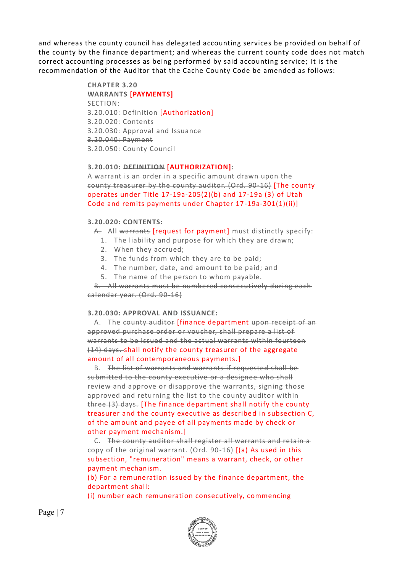and whereas the county council has delegated accounting services be provided on behalf of the county by the finance department; and whereas the current county code does not match correct accounting processes as being performed by said accounting service; It is the recommendation of the Auditor that the Cache County Code be amended as follows:

### **CHAPTER 3.20 WARRANTS [PAYMENTS]** SECTION: 3.20.010: Definition [Authorization] 3.20.020: Contents 3.20.030: Approval and Issuance 3.20.040: Payment

3.20.050: County Council

#### **3.20.010: DEFINITION [AUTHORIZATION]:**

A warrant is an order in a specific amount drawn upon the county treasurer by the county auditor. (Ord. 90-16) [The county operates under Title 17-19a-205(2)(b) and 17-19a (3) of Utah Code and remits payments under Chapter 17-19a-301(1)(ii)]

#### **3.20.020: CONTENTS:**

- A. All warrants [request for payment] must distinctly specify:
	- 1. The liability and purpose for which they are drawn;
	- 2. When they accrued;
	- 3. The funds from which they are to be paid;
	- 4. The number, date, and amount to be paid; and
	- 5. The name of the person to whom payable.

 B. All warrants must be numbered consecutively during each calendar year. (Ord. 90-16)

### **3.20.030: APPROVAL AND ISSUANCE:**

A. The county auditor [finance department upon receipt of an approved purchase order or voucher, shall prepare a list of warrants to be issued and the actual warrants within fourteen (14) days. shall notify the county treasurer of the aggregate amount of all contemporaneous payments.]

 B. The list of warrants and warrants if requested shall be submitted to the county executive or a designee who shall review and approve or disapprove the warrants, signing those approved and returning the list to the county auditor within three (3) days. [The finance department shall notify the county treasurer and the county executive as described in subsection C, of the amount and payee of all payments made by check or other payment mechanism.]

 C. The county auditor shall register all warrants and retain a copy of the original warrant. (Ord. 90-16) [(a) As used in this subsection, "remuneration" means a warrant, check, or other payment mechanism.

(b) For a remuneration issued by the finance department, the department shall:

(i) number each remuneration consecutively, commencing

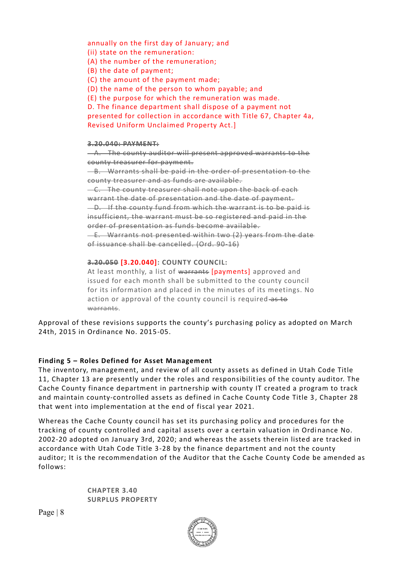annually on the first day of January; and (ii) state on the remuneration: (A) the number of the remuneration; (B) the date of payment; (C) the amount of the payment made; (D) the name of the person to whom payable; and (E) the purpose for which the remuneration was made. D. The finance department shall dispose of a payment not presented for collection in accordance with Title 67, Chapter 4a, Revised Uniform Unclaimed Property Act.]

#### **3.20.040: PAYMENT:**

 A. The county auditor will present approved warrants to the county treasurer for payment.

 B. Warrants shall be paid in the order of presentation to the county treasurer and as funds are available.

-C. The county treasurer shall note upon the back of each warrant the date of presentation and the date of payment. D. If the county fund from which the warrant is to be paid is insufficient, the warrant must be so registered and paid in the order of presentation as funds become available.

 E. Warrants not presented within two (2) years from the date of issuance shall be cancelled. (Ord. 90-16)

**3.20.050 [3.20.040]: COUNTY COUNCIL:**

At least monthly, a list of warrants [payments] approved and issued for each month shall be submitted to the county council for its information and placed in the minutes of its meetings. No action or approval of the county council is required as to warrants.

Approval of these revisions supports the county's purchasing policy as adopted on March 24th, 2015 in Ordinance No. 2015-05.

### **Finding 5 – Roles Defined for Asset Management**

The inventory, management, and review of all county assets as defined in Utah Code Title 11, Chapter 13 are presently under the roles and responsibilities of the county auditor. The Cache County finance department in partnership with county IT created a program to track and maintain county-controlled assets as defined in Cache County Code Title 3 , Chapter 28 that went into implementation at the end of fiscal year 2021.

Whereas the Cache County council has set its purchasing policy and procedures for the tracking of county controlled and capital assets over a certain valuation in Ordinance No. 2002-20 adopted on January 3rd, 2020; and whereas the assets therein listed are tracked in accordance with Utah Code Title 3-28 by the finance department and not the county auditor; It is the recommendation of the Auditor that the Cache County Code be amended as follows:

> **CHAPTER 3.40 SURPLUS PROPERTY**

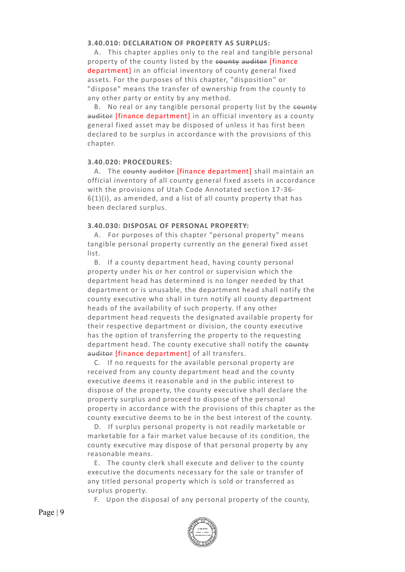#### **3.40.010: DECLARATION OF PROPERTY AS SURPLUS:**

 A. This chapter applies only to the real and tangible personal property of the county listed by the county auditor [finance department] in an official inventory of county general fixed assets. For the purposes of this chapter, "disposition" or "dispose" means the transfer of ownership from the county to any other party or entity by any method.

B. No real or any tangible personal property list by the county auditor [finance department] in an official inventory as a county general fixed asset may be disposed of unless it has first been declared to be surplus in accordance with the provisions of this chapter.

#### **3.40.020: PROCEDURES:**

A. The county auditor [finance department] shall maintain an official inventory of all county general fixed assets in accordance with the provisions of Utah Code Annotated section 17 -36-  $6(1)(i)$ , as amended, and a list of all county property that has been declared surplus.

#### **3.40.030: DISPOSAL OF PERSONAL PROPERTY:**

 A. For purposes of this chapter "personal property" means tangible personal property currently on the general fixed asset list.

 B. If a county department head, having county personal property under his or her control or supervision which the department head has determined is no longer needed by that department or is unusable, the department head shall notify the county executive who shall in turn notify all county department heads of the availability of such property. If any other department head requests the designated available property for their respective department or division, the county executive has the option of transferring the property to the requesting department head. The county executive shall notify the county auditor [finance department] of all transfers.

 C. If no requests for the available personal property are received from any county department head and the county executive deems it reasonable and in the public interest to dispose of the property, the county executive shall declare the property surplus and proceed to dispose of the personal property in accordance with the provisions of this chapter as the county executive deems to be in the best interest of the county.

 D. If surplus personal property is not readily marketable or marketable for a fair market value because of its condition, the county executive may dispose of that personal property by any reasonable means.

 E. The county clerk shall execute and deliver to the county executive the documents necessary for the sale or transfer of any titled personal property which is sold or transferred as surplus property.

F. Upon the disposal of any personal property of the county,

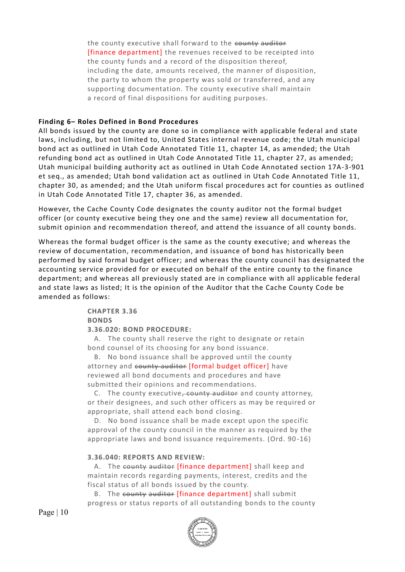the county executive shall forward to the county auditor [finance department] the revenues received to be receipted into the county funds and a record of the disposition thereof, including the date, amounts received, the manner of disposition, the party to whom the property was sold or transferred, and any supporting documentation. The county executive shall maintain a record of final dispositions for auditing purposes.

### **Finding 6– Roles Defined in Bond Procedures**

All bonds issued by the county are done so in compliance with applicable federal and state laws, including, but not limited to, United States internal revenue code; the Utah municipal bond act as outlined in Utah Code Annotated Title 11, chapter 14, as amended; the Utah refunding bond act as outlined in Utah Code Annotated Title 11, chapter 27, as amended; Utah municipal building authority act as outlined in Utah Code Annotated section 17A-3-901 et seq., as amended; Utah bond validation act as outlined in Utah Code Annotated Title 11, chapter 30, as amended; and the Utah uniform fiscal procedures act for counties as outlined in Utah Code Annotated Title 17, chapter 36, as amended.

However, the Cache County Code designates the county auditor not the formal budget officer (or county executive being they one and the same) review all documentation for, submit opinion and recommendation thereof, and attend the issuance of all county bonds.

Whereas the formal budget officer is the same as the county executive; and whereas the review of documentation, recommendation, and issuance of bond has historically been performed by said formal budget officer; and whereas the county council has designated the accounting service provided for or executed on behalf of the entire county to the finance department; and whereas all previously stated are in compliance with all applicable federal and state laws as listed; It is the opinion of the Auditor that the Cache County Code be amended as follows:

> **CHAPTER 3.36 BONDS 3.36.020: BOND PROCEDURE:**

 A. The county shall reserve the right to designate or retain bond counsel of its choosing for any bond issuance.

 B. No bond issuance shall be approved until the county attorney and county auditor [formal budget officer] have reviewed all bond documents and procedures and have submitted their opinions and recommendations.

C. The county executive, county auditor and county attorney, or their designees, and such other officers as may be required or appropriate, shall attend each bond closing.

 D. No bond issuance shall be made except upon the specific approval of the county council in the manner as required by the appropriate laws and bond issuance requirements. (Ord. 90 -16)

### **3.36.040: REPORTS AND REVIEW:**

A. The county auditor [finance department] shall keep and maintain records regarding payments, interest, credits and the fiscal status of all bonds issued by the county.

B. The county auditor [finance department] shall submit progress or status reports of all outstanding bonds to the county

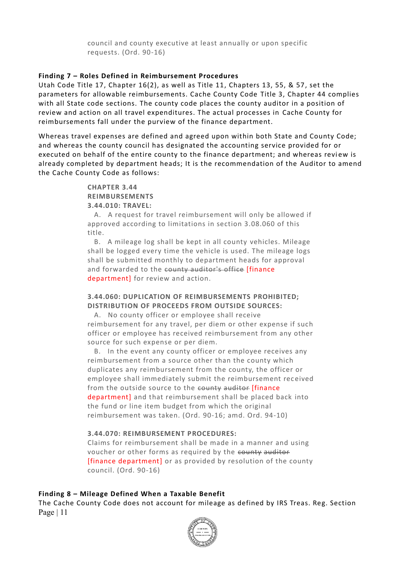council and county executive at least annually or upon specific requests. (Ord. 90-16)

### **Finding 7 – Roles Defined in Reimbursement Procedures**

Utah Code Title 17, Chapter 16(2), as well as Title 11, Chapters 13, 55, & 57, set the parameters for allowable reimbursements. Cache County Code Title 3, Chapter 44 complies with all State code sections. The county code places the county auditor in a position of review and action on all travel expenditures. The actual processes in Cache County for reimbursements fall under the purview of the finance department.

Whereas travel expenses are defined and agreed upon within both State and County Code; and whereas the county council has designated the accounting service provided for or executed on behalf of the entire county to the finance department; and whereas review is already completed by department heads; It is the recommendation of the Auditor to amend the Cache County Code as follows:

#### **CHAPTER 3.44 REIMBURSEMENTS**

**3.44.010: TRAVEL:**

 A. A request for travel reimbursement will only be allowed if approved according to limitations in section 3.08.060 of this title.

 B. A mileage log shall be kept in all county vehicles. Mileage shall be logged every time the vehicle is used. The mileage logs shall be submitted monthly to department heads for approval and forwarded to the county auditor's office [finance department] for review and action.

### **3.44.060: DUPLICATION OF REIMBURSEMENTS PROHIBITED; DISTRIBUTION OF PROCEEDS FROM OUTSIDE SOURCES:**

 A. No county officer or employee shall receive reimbursement for any travel, per diem or other expense if such officer or employee has received reimbursement from any other source for such expense or per diem.

 B. In the event any county officer or employee receives any reimbursement from a source other than the county which duplicates any reimbursement from the county, the officer or employee shall immediately submit the reimbursement rec eived from the outside source to the county auditor [finance department] and that reimbursement shall be placed back into the fund or line item budget from which the original reimbursement was taken. (Ord. 90-16; amd. Ord. 94-10)

### **3.44.070: REIMBURSEMENT PROCEDURES:**

Claims for reimbursement shall be made in a manner and using voucher or other forms as required by the county auditor [finance department] or as provided by resolution of the county council. (Ord. 90-16)

### **Finding 8 – Mileage Defined When a Taxable Benefit**

Page | 11 The Cache County Code does not account for mileage as defined by IRS Treas. Reg. Section

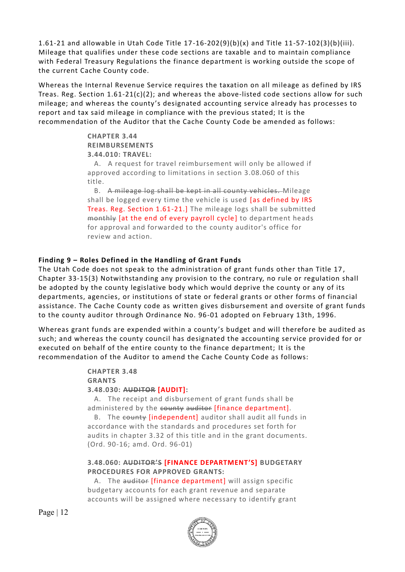1.61-21 and allowable in Utah Code Title 17-16-202(9)(b)(x) and Title 11-57-102(3)(b)(iii). Mileage that qualifies under these code sections are taxable and to maintain compliance with Federal Treasury Regulations the finance department is working outside the scope of the current Cache County code.

Whereas the Internal Revenue Service requires the taxation on all mileage as defined by IRS Treas. Reg. Section  $1.61-21(c)(2)$ ; and whereas the above-listed code sections allow for such mileage; and whereas the county's designated accounting service already has processes to report and tax said mileage in compliance with the previous stated; It is the recommendation of the Auditor that the Cache County Code be amended as follows:

> **CHAPTER 3.44 REIMBURSEMENTS 3.44.010: TRAVEL:**

 A. A request for travel reimbursement will only be allowed if approved according to limitations in section 3.08.060 of this title.

 B. A mileage log shall be kept in all county vehicles. Mileage shall be logged every time the vehicle is used [as defined by IRS Treas. Reg. Section 1.61-21.] The mileage logs shall be submitted monthly [at the end of every payroll cycle] to department heads for approval and forwarded to the county auditor's office for review and action.

### **Finding 9 – Roles Defined in the Handling of Grant Funds**

The Utah Code does not speak to the administration of grant funds other than Title 17 , Chapter 33-15(3) Notwithstanding any provision to the contrary, no rule or regulation shall be adopted by the county legislative body which would deprive the county or any of its departments, agencies, or institutions of state or federal grants or other forms of financial assistance. The Cache County code as written gives disbursement and oversite of grant funds to the county auditor through Ordinance No. 96-01 adopted on February 13th, 1996.

Whereas grant funds are expended within a county 's budget and will therefore be audited as such; and whereas the county council has designated the accounting service provided for or executed on behalf of the entire county to the finance department; It is the recommendation of the Auditor to amend the Cache County Code as follows:

### **CHAPTER 3.48 GRANTS 3.48.030: AUDITOR [AUDIT]:**

 A. The receipt and disbursement of grant funds shall be administered by the county auditor [finance department].

B. The county [independent] auditor shall audit all funds in accordance with the standards and procedures set forth for audits in chapter 3.32 of this title and in the grant documents. (Ord. 90-16; amd. Ord. 96-01)

### **3.48.060: AUDITOR'S [FINANCE DEPARTMENT'S] BUDGETARY PROCEDURES FOR APPROVED GRANTS:**

A. The auditor [finance department] will assign specific budgetary accounts for each grant revenue and separate accounts will be assigned where necessary to identify grant

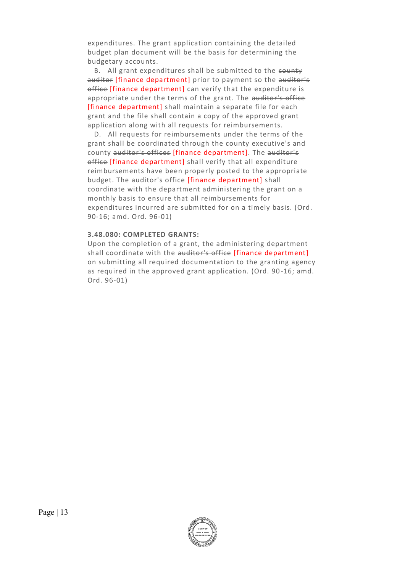expenditures. The grant application containing the detailed budget plan document will be the basis for determining the budgetary accounts.

B. All grant expenditures shall be submitted to the county auditor [finance department] prior to payment so the auditor's office [finance department] can verify that the expenditure is appropriate under the terms of the grant. The auditor's office [finance department] shall maintain a separate file for each grant and the file shall contain a copy of the approved grant application along with all requests for reimbursements.

 D. All requests for reimbursements under the terms of the grant shall be coordinated through the county executive's and county auditor's offices [finance department]. The auditor's office [finance department] shall verify that all expenditure reimbursements have been properly posted to the appropriate budget. The auditor's office [finance department] shall coordinate with the department administering the grant on a monthly basis to ensure that all reimbursements for expenditures incurred are submitted for on a timely basis. (Ord. 90-16; amd. Ord. 96-01)

### **3.48.080: COMPLETED GRANTS:**

Upon the completion of a grant, the administering department shall coordinate with the auditor's office [finance department] on submitting all required documentation to the granting agency as required in the approved grant application. (Ord. 90 -16; amd. Ord. 96-01)

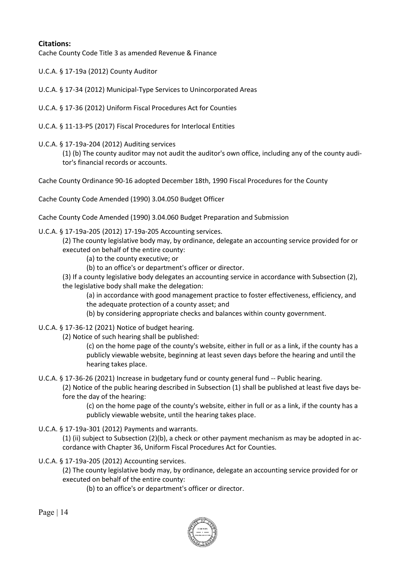### **Citations:**

Cache County Code Title 3 as amended Revenue & Finance

U.C.A. § 17-19a (2012) County Auditor

U.C.A. § 17-34 (2012) Municipal-Type Services to Unincorporated Areas

U.C.A. § 17-36 (2012) Uniform Fiscal Procedures Act for Counties

- U.C.A. § 11-13-P5 (2017) Fiscal Procedures for Interlocal Entities
- U.C.A. § 17-19a-204 (2012) Auditing services

(1) (b) The county auditor may not audit the auditor's own office, including any of the county auditor's financial records or accounts.

Cache County Ordinance 90-16 adopted December 18th, 1990 Fiscal Procedures for the County

Cache County Code Amended (1990) 3.04.050 Budget Officer

Cache County Code Amended (1990) 3.04.060 Budget Preparation and Submission

U.C.A. § 17-19a-205 (2012) 17-19a-205 Accounting services.

(2) The county legislative body may, by ordinance, delegate an accounting service provided for or executed on behalf of the entire county:

(a) to the county executive; or

(b) to an office's or department's officer or director.

(3) If a county legislative body delegates an accounting service in accordance with Subsection (2), the legislative body shall make the delegation:

(a) in accordance with good management practice to foster effectiveness, efficiency, and the adequate protection of a county asset; and

(b) by considering appropriate checks and balances within county government.

- U.C.A. § 17-36-12 (2021) Notice of budget hearing.
	- (2) Notice of such hearing shall be published:

(c) on the home page of the county's website, either in full or as a link, if the county has a publicly viewable website, beginning at least seven days before the hearing and until the hearing takes place.

U.C.A. § 17-36-26 (2021) Increase in budgetary fund or county general fund -- Public hearing.

(2) Notice of the public hearing described in Subsection (1) shall be published at least five days before the day of the hearing:

(c) on the home page of the county's website, either in full or as a link, if the county has a publicly viewable website, until the hearing takes place.

U.C.A. § 17-19a-301 (2012) Payments and warrants.

(1) (ii) subject to Subsection (2)(b), a check or other payment mechanism as may be adopted in accordance with Chapter 36, Uniform Fiscal Procedures Act for Counties.

U.C.A. § 17-19a-205 (2012) Accounting services.

(2) The county legislative body may, by ordinance, delegate an accounting service provided for or executed on behalf of the entire county:

(b) to an office's or department's officer or director.

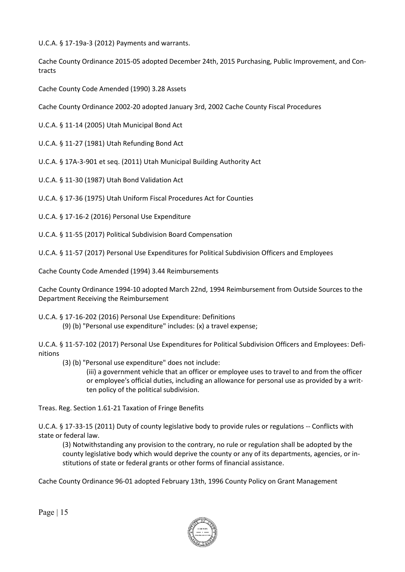U.C.A. § 17-19a-3 (2012) Payments and warrants.

Cache County Ordinance 2015-05 adopted December 24th, 2015 Purchasing, Public Improvement, and Contracts

Cache County Code Amended (1990) 3.28 Assets

Cache County Ordinance 2002-20 adopted January 3rd, 2002 Cache County Fiscal Procedures

U.C.A. § 11-14 (2005) Utah Municipal Bond Act

U.C.A. § 11-27 (1981) Utah Refunding Bond Act

U.C.A. § 17A-3-901 et seq. (2011) Utah Municipal Building Authority Act

U.C.A. § 11-30 (1987) Utah Bond Validation Act

U.C.A. § 17-36 (1975) Utah Uniform Fiscal Procedures Act for Counties

U.C.A. § 17-16-2 (2016) Personal Use Expenditure

U.C.A. § 11-55 (2017) Political Subdivision Board Compensation

U.C.A. § 11-57 (2017) Personal Use Expenditures for Political Subdivision Officers and Employees

Cache County Code Amended (1994) 3.44 Reimbursements

Cache County Ordinance 1994-10 adopted March 22nd, 1994 Reimbursement from Outside Sources to the Department Receiving the Reimbursement

U.C.A. § 17-16-202 (2016) Personal Use Expenditure: Definitions (9) (b) "Personal use expenditure" includes: (x) a travel expense;

U.C.A. § 11-57-102 (2017) Personal Use Expenditures for Political Subdivision Officers and Employees: Definitions

(3) (b) "Personal use expenditure" does not include:

(iii) a government vehicle that an officer or employee uses to travel to and from the officer or employee's official duties, including an allowance for personal use as provided by a written policy of the political subdivision.

Treas. Reg. Section 1.61-21 Taxation of Fringe Benefits

U.C.A. § 17-33-15 (2011) Duty of county legislative body to provide rules or regulations -- Conflicts with state or federal law.

(3) Notwithstanding any provision to the contrary, no rule or regulation shall be adopted by the county legislative body which would deprive the county or any of its departments, agencies, or institutions of state or federal grants or other forms of financial assistance.

Cache County Ordinance 96-01 adopted February 13th, 1996 County Policy on Grant Management

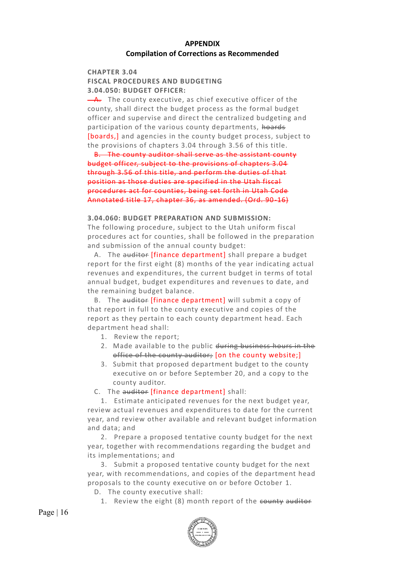### **APPENDIX Compilation of Corrections as Recommended**

### **CHAPTER 3.04 FISCAL PROCEDURES AND BUDGETING 3.04.050: BUDGET OFFICER:**

 $-A$ . The county executive, as chief executive officer of the county, shall direct the budget process as the formal budget officer and supervise and direct the centralized budgeting and participation of the various county departments, hoards [boards,] and agencies in the county budget process, subject to the provisions of chapters 3.04 through 3.56 of this title.

 B. The county auditor shall serve as the assistant county budget officer, subject to the provisions of chapters 3.04 through 3.56 of this title, and perform the duties of that position as those duties are specified in the Utah fiscal procedures act for counties, being set forth in Utah Code Annotated title 17, chapter 36, as amended. (Ord. 90-16)

### **3.04.060: BUDGET PREPARATION AND SUBMISSION:**

The following procedure, subject to the Utah uniform fiscal procedures act for counties, shall be followed in the preparation and submission of the annual county budget:

A. The auditor [finance department] shall prepare a budget report for the first eight (8) months of the year indicating actual revenues and expenditures, the current budget in terms of total annual budget, budget expenditures and revenues to date, and the remaining budget balance.

B. The auditor [finance department] will submit a copy of that report in full to the county executive and copies of the report as they pertain to each county department head. Each department head shall:

- 1. Review the report;
- 2. Made available to the public during business hours in the office of the county auditor; [on the county website;]
- 3. Submit that proposed department budget to the county executive on or before September 20, and a copy to the county auditor.
- C. The auditor [finance department] shall:

 1. Estimate anticipated revenues for the next budget year, review actual revenues and expenditures to date for the current year, and review other available and relevant budget information and data; and

 2. Prepare a proposed tentative county budget for the next year, together with recommendations regarding the budget and its implementations; and

 3. Submit a proposed tentative county budget for the next year, with recommendations, and copies of the department head proposals to the county executive on or before October 1.

D. The county executive shall:

1. Review the eight (8) month report of the county auditor

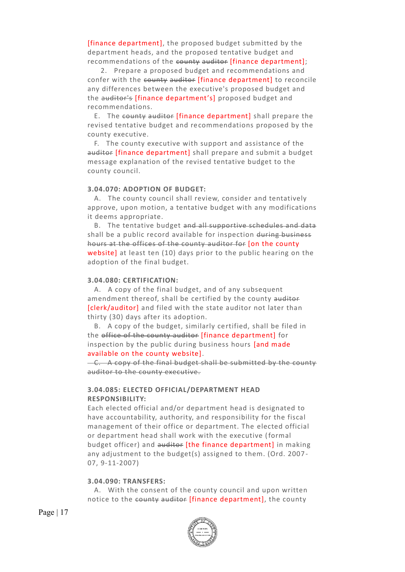[finance department], the proposed budget submitted by the department heads, and the proposed tentative budget and recommendations of the county auditor [finance department];

 2. Prepare a proposed budget and recommendations and confer with the county auditor [finance department] to reconcile any differences between the executive's proposed budget and the auditor's [finance department's] proposed budget and recommendations.

 E. The county auditor [finance department] shall prepare the revised tentative budget and recommendations proposed by the county executive.

 F. The county executive with support and assistance of the auditor [finance department] shall prepare and submit a budget message explanation of the revised tentative budget to the county council.

#### **3.04.070: ADOPTION OF BUDGET:**

 A. The county council shall review, consider and tentatively approve, upon motion, a tentative budget with any modifications it deems appropriate.

 B. The tentative budget and all supportive schedules and data shall be a public record available for inspection during business hours at the offices of the county auditor for [on the county website] at least ten (10) days prior to the public hearing on the adoption of the final budget.

#### **3.04.080: CERTIFICATION:**

 A. A copy of the final budget, and of any subsequent amendment thereof, shall be certified by the county auditor [clerk/auditor] and filed with the state auditor not later than thirty (30) days after its adoption.

 B. A copy of the budget, similarly certified, shall be filed in the office of the county auditor [finance department] for inspection by the public during business hours [and made available on the county website].

 C. A copy of the final budget shall be submitted by the county auditor to the county executive.

### **3.04.085: ELECTED OFFICIAL/DEPARTMENT HEAD RESPONSIBILITY:**

Each elected official and/or department head is designated to have accountability, authority, and responsibility for the fiscal management of their office or department. The elected official or department head shall work with the executive (formal budget officer) and auditor [the finance department] in making any adjustment to the budget(s) assigned to them. (Ord. 2007 - 07, 9-11-2007)

### **3.04.090: TRANSFERS:**

 A. With the consent of the county council and upon written notice to the county auditor [finance department], the county

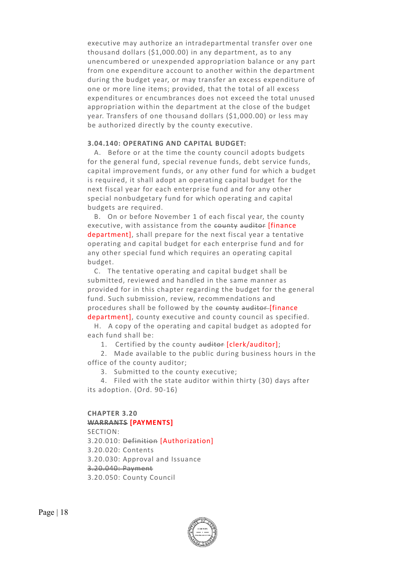executive may authorize an intradepartmental transfer over one thousand dollars (\$1,000.00) in any department, as to any unencumbered or unexpended appropriation balance or any part from one expenditure account to another within the department during the budget year, or may transfer an excess expenditure of one or more line items; provided, that the total of all excess expenditures or encumbrances does not exceed the total unused appropriation within the department at the close of the budget year. Transfers of one thousand dollars (\$1,000.00) or less may be authorized directly by the county executive.

#### **3.04.140: OPERATING AND CAPITAL BUDGET:**

 A. Before or at the time the county council adopts budgets for the general fund, special revenue funds, debt service funds, capital improvement funds, or any other fund for which a budget is required, it shall adopt an operating capital budget for the next fiscal year for each enterprise fund and for any other special nonbudgetary fund for which operating and capital budgets are required.

 B. On or before November 1 of each fiscal year, the county executive, with assistance from the county auditor [finance department], shall prepare for the next fiscal year a tentative operating and capital budget for each enterprise fund and for any other special fund which requires an operating capital budget.

 C. The tentative operating and capital budget shall be submitted, reviewed and handled in the same manner as provided for in this chapter regarding the budget for the general fund. Such submission, review, recommendations and procedures shall be followed by the county auditor-[finance department], county executive and county council as specified.

 H. A copy of the operating and capital budget as adopted for each fund shall be:

1. Certified by the county auditor [clerk/auditor];

 2. Made available to the public during business hours in the office of the county auditor;

3. Submitted to the county executive;

 4. Filed with the state auditor within thirty (30) days after its adoption. (Ord. 90-16)

#### **CHAPTER 3.20 WARRANTS [PAYMENTS]**

SECTION:

3.20.010: Definition [Authorization]

3.20.020: Contents

3.20.030: Approval and Issuance

3.20.040: Payment

3.20.050: County Council

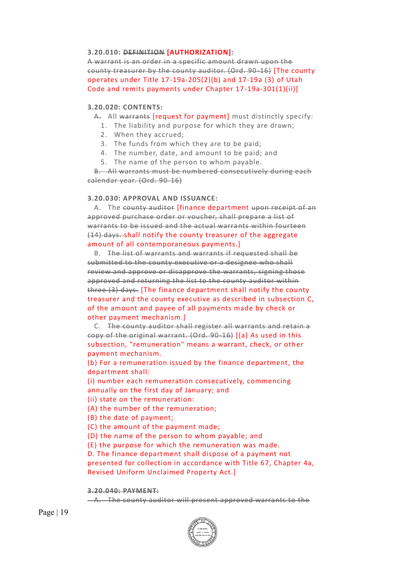### **3.20.010: DEFINITION [AUTHORIZATION]:**

A warrant is an order in a specific amount drawn upon the county treasurer by the county auditor. (Ord. 90-16) [The county operates under Title 17-19a-205(2)(b) and 17-19a (3) of Utah Code and remits payments under Chapter 17-19a-301(1)(ii)]

#### **3.20.020: CONTENTS:**

A. All warrants (request for payment) must distinctly specify:

- 1. The liability and purpose for which they are drawn;
- 2. When they accrued;
- 3. The funds from which they are to be paid;
- 4. The number, date, and amount to be paid; and
- 5. The name of the person to whom payable.

 B. All warrants must be numbered consecutively during each calendar year. (Ord. 90-16)

#### **3.20.030: APPROVAL AND ISSUANCE:**

A. The county auditor *[finance department upon receipt of an* approved purchase order or voucher, shall prepare a list of warrants to be issued and the actual warrants within fourteen (14) days. shall notify the county treasurer of the aggregate amount of all contemporaneous payments.]

 B. The list of warrants and warrants if requested shall be submitted to the county executive or a designee who shall review and approve or disapprove the warrants, signing those approved and returning the list to the county auditor within three (3) days. [The finance department shall notify the county treasurer and the county executive as described in subsection C, of the amount and payee of all payments made by check or other payment mechanism.]

 C. The county auditor shall register all warrants and retain a copy of the original warrant. (Ord. 90-16) [(a) As used in this subsection, "remuneration" means a warrant, check, or other payment mechanism.

(b) For a remuneration issued by the finance department, the department shall:

(i) number each remuneration consecutively, commencing annually on the first day of January; and

(ii) state on the remuneration:

(A) the number of the remuneration;

(B) the date of payment;

(C) the amount of the payment made;

(D) the name of the person to whom payable; and

(E) the purpose for which the remuneration was made.

D. The finance department shall dispose of a payment not presented for collection in accordance with Title 67, Chapter 4a, Revised Uniform Unclaimed Property Act.]

#### **3.20.040: PAYMENT:**

A. The county auditor will present approved warrants to the

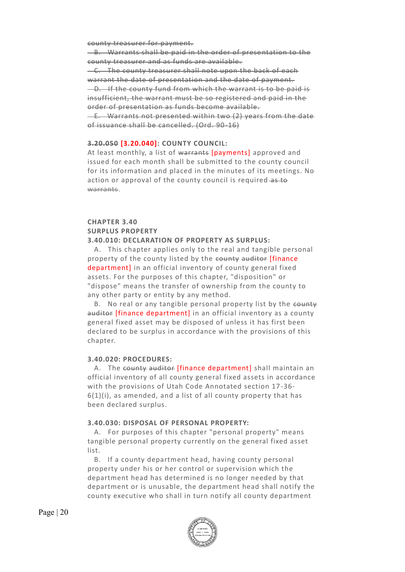county treasurer for payment.

 B. Warrants shall be paid in the order of presentation to the county treasurer and as funds are available.

 C. The county treasurer shall note upon the back of each warrant the date of presentation and the date of payment. D. If the county fund from which the warrant is to be paid is insufficient, the warrant must be so registered and paid in the order of presentation as funds become available. E. Warrants not presented within two (2) years from the date

of issuance shall be cancelled. (Ord. 90-16)

#### **3.20.050 [3.20.040]: COUNTY COUNCIL:**

At least monthly, a list of warrants [payments] approved and issued for each month shall be submitted to the county council for its information and placed in the minutes of its meetings. No action or approval of the county council is required as to warrants.

### **CHAPTER 3.40 SURPLUS PROPERTY 3.40.010: DECLARATION OF PROPERTY AS SURPLUS:**

 A. This chapter applies only to the real and tangible personal property of the county listed by the county auditor [finance department] in an official inventory of county general fixed assets. For the purposes of this chapter, "disposition" or "dispose" means the transfer of ownership from the county to any other party or entity by any method.

B. No real or any tangible personal property list by the county auditor [finance department] in an official inventory as a county general fixed asset may be disposed of unless it has first been declared to be surplus in accordance with the provisions of this chapter.

#### **3.40.020: PROCEDURES:**

A. The county auditor [finance department] shall maintain an official inventory of all county general fixed assets in accordance with the provisions of Utah Code Annotated section 17 -36-  $6(1)(i)$ , as amended, and a list of all county property that has been declared surplus.

### **3.40.030: DISPOSAL OF PERSONAL PROPERTY:**

 A. For purposes of this chapter "personal property" means tangible personal property currently on the general fixed asset list.

 B. If a county department head, having county personal property under his or her control or supervision which the department head has determined is no longer needed by that department or is unusable, the department head shall notify the county executive who shall in turn notify all county department

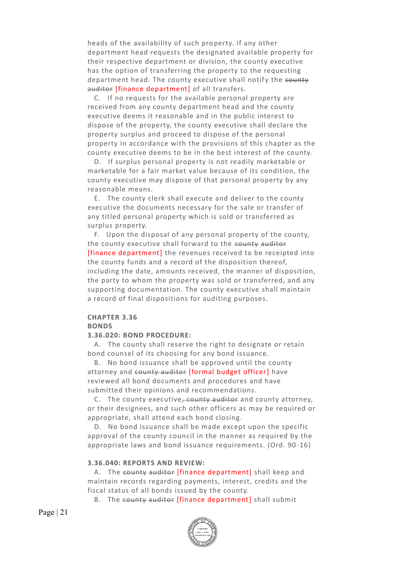heads of the availability of such property. If any other department head requests the designated available property for their respective department or division, the county executive has the option of transferring the property to the requesting department head. The county executive shall notify the county auditor [finance department] of all transfers.

 C. If no requests for the available personal property are received from any county department head and the county executive deems it reasonable and in the public interest to dispose of the property, the county executive shall declare the property surplus and proceed to dispose of the personal property in accordance with the provisions of this chapter as the county executive deems to be in the best interest of the county.

 D. If surplus personal property is not readily marketable or marketable for a fair market value because of its condition, the county executive may dispose of that personal property by any reasonable means.

 E. The county clerk shall execute and deliver to the county executive the documents necessary for the sale or transfer of any titled personal property which is sold or transferred as surplus property.

 F. Upon the disposal of any personal property of the county, the county executive shall forward to the county auditor [finance department] the revenues received to be receipted into the county funds and a record of the disposition thereof, including the date, amounts received, the manner of disposition, the party to whom the property was sold or transferred, and any supporting documentation. The county executive shall maintain a record of final dispositions for auditing purposes.

### **CHAPTER 3.36**

### **BONDS**

### **3.36.020: BOND PROCEDURE:**

 A. The county shall reserve the right to designate or retain bond counsel of its choosing for any bond issuance.

 B. No bond issuance shall be approved until the county attorney and county auditor [formal budget officer] have reviewed all bond documents and procedures and have submitted their opinions and recommendations.

C. The county executive, county auditor and county attorney, or their designees, and such other officers as may be required or appropriate, shall attend each bond closing.

 D. No bond issuance shall be made except upon the specific approval of the county council in the manner as required by the appropriate laws and bond issuance requirements. (Ord. 90 -16)

### **3.36.040: REPORTS AND REVIEW:**

A. The county auditor [finance department] shall keep and maintain records regarding payments, interest, credits and the fiscal status of all bonds issued by the county.

B. The county auditor [finance department] shall submit

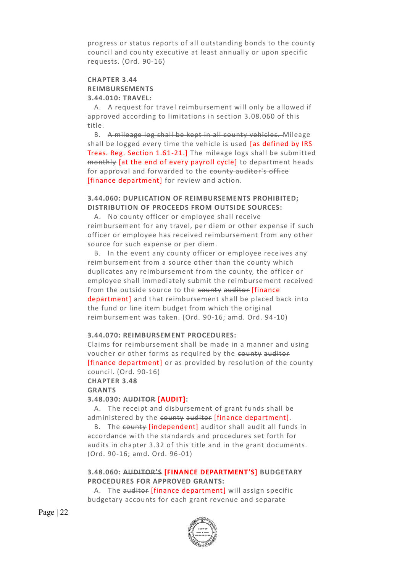progress or status reports of all outstanding bonds to the county council and county executive at least annually or upon specific requests. (Ord. 90-16)

#### **CHAPTER 3.44 REIMBURSEMENTS 3.44.010: TRAVEL:**

 A. A request for travel reimbursement will only be allowed if approved according to limitations in section 3.08.060 of this title.

 B. A mileage log shall be kept in all county vehicles. Mileage shall be logged every time the vehicle is used [as defined by IRS Treas. Reg. Section 1.61-21.] The mileage logs shall be submitted monthly [at the end of every payroll cycle] to department heads for approval and forwarded to the county auditor's office [finance department] for review and action.

### **3.44.060: DUPLICATION OF REIMBURSEMENTS PROHIBITED; DISTRIBUTION OF PROCEEDS FROM OUTSIDE SOURCES:**

 A. No county officer or employee shall receive reimbursement for any travel, per diem or other expense if such officer or employee has received reimbursement from any other source for such expense or per diem.

 B. In the event any county officer or employee receives any reimbursement from a source other than the county which duplicates any reimbursement from the county, the officer or employee shall immediately submit the reimbursement received from the outside source to the county auditor [finance department] and that reimbursement shall be placed back into the fund or line item budget from which the original reimbursement was taken. (Ord. 90-16; amd. Ord. 94-10)

### **3.44.070: REIMBURSEMENT PROCEDURES:**

Claims for reimbursement shall be made in a manner and using voucher or other forms as required by the county auditor [finance department] or as provided by resolution of the county council. (Ord. 90-16)

**CHAPTER 3.48**

**GRANTS**

#### **3.48.030: AUDITOR [AUDIT]:**

 A. The receipt and disbursement of grant funds shall be administered by the county auditor [finance department].

 B. The county [independent] auditor shall audit all funds in accordance with the standards and procedures set forth for audits in chapter 3.32 of this title and in the grant documents. (Ord. 90-16; amd. Ord. 96-01)

### **3.48.060: AUDITOR'S [FINANCE DEPARTMENT'S] BUDGETARY PROCEDURES FOR APPROVED GRANTS:**

A. The auditor [finance department] will assign specific budgetary accounts for each grant revenue and separate